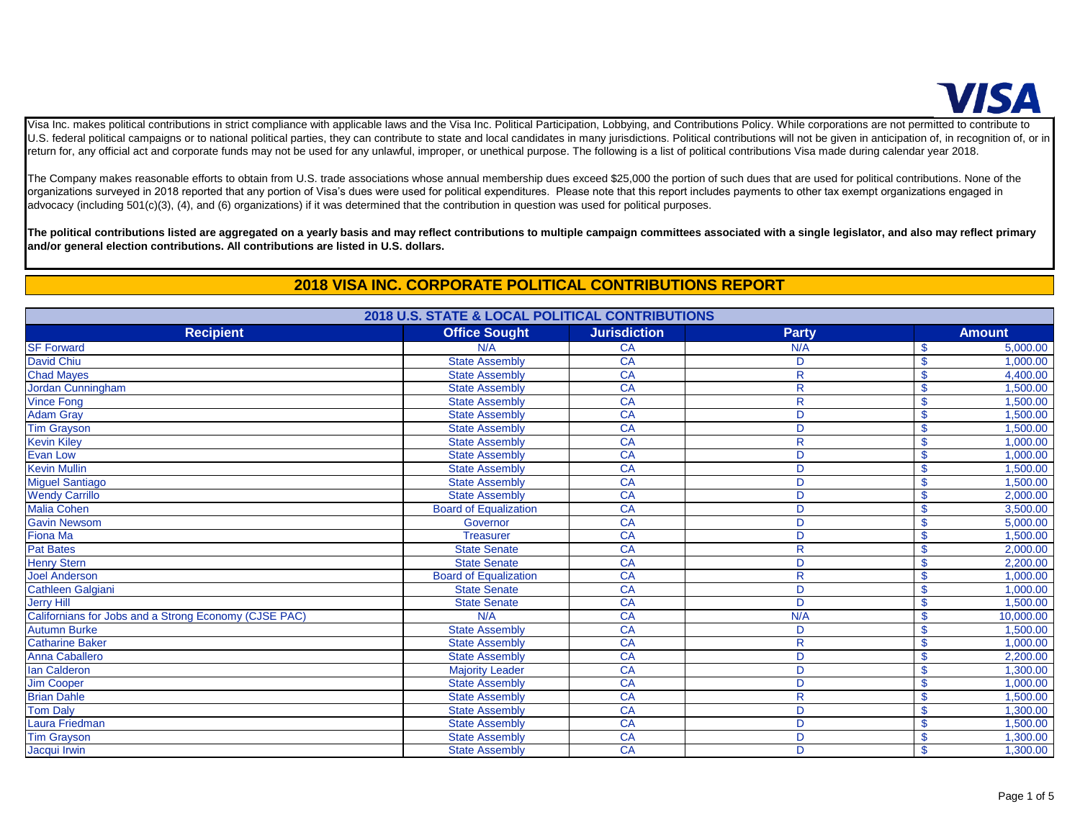

Visa Inc. makes political contributions in strict compliance with applicable laws and the Visa Inc. Political Participation, Lobbying, and Contributions Policy. While corporations are not permitted to contribute to U.S. federal political campaigns or to national political parties, they can contribute to state and local candidates in many jurisdictions. Political contributions will not be given in anticipation of, in recognition of, o return for, any official act and corporate funds may not be used for any unlawful, improper, or unethical purpose. The following is a list of political contributions Visa made during calendar year 2018.

The Company makes reasonable efforts to obtain from U.S. trade associations whose annual membership dues exceed \$25,000 the portion of such dues that are used for political contributions. None of the organizations surveyed in 2018 reported that any portion of Visa's dues were used for political expenditures. Please note that this report includes payments to other tax exempt organizations engaged in advocacy (including 501(c)(3), (4), and (6) organizations) if it was determined that the contribution in question was used for political purposes.

**The political contributions listed are aggregated on a yearly basis and may reflect contributions to multiple campaign committees associated with a single legislator, and also may reflect primary and/or general election contributions. All contributions are listed in U.S. dollars.**

## **2018 VISA INC. CORPORATE POLITICAL CONTRIBUTIONS REPORT**

| 2018 U.S. STATE & LOCAL POLITICAL CONTRIBUTIONS       |                              |                     |              |                    |               |
|-------------------------------------------------------|------------------------------|---------------------|--------------|--------------------|---------------|
| <b>Recipient</b>                                      | <b>Office Sought</b>         | <b>Jurisdiction</b> | <b>Party</b> |                    | <b>Amount</b> |
| <b>SF Forward</b>                                     | N/A                          | CA                  | N/A          | \$                 | 5,000.00      |
| <b>David Chiu</b>                                     | <b>State Assembly</b>        | CA                  | D            | $\mathbf{\$}$      | 1,000.00      |
| <b>Chad Mayes</b>                                     | <b>State Assembly</b>        | CA                  | $\mathsf R$  | \$                 | 4,400.00      |
| Jordan Cunningham                                     | <b>State Assembly</b>        | CA                  | $\mathsf{R}$ | $\mathbf{\$}$      | 1,500.00      |
| <b>Vince Fong</b>                                     | <b>State Assembly</b>        | CA                  | $\mathsf{R}$ | $\mathbf{\$}$      | 1,500.00      |
| <b>Adam Gray</b>                                      | <b>State Assembly</b>        | CA                  | D            | $\mathbf{\$}$      | 1,500.00      |
| <b>Tim Grayson</b>                                    | <b>State Assembly</b>        | CA                  | D            | $\mathbf{\$}$      | 1,500.00      |
| <b>Kevin Kiley</b>                                    | <b>State Assembly</b>        | CA                  | $\mathsf{R}$ | \$                 | 1,000.00      |
| <b>Evan Low</b>                                       | <b>State Assembly</b>        | CA                  | D            | $\mathbf{\$}$      | 1,000.00      |
| <b>Kevin Mullin</b>                                   | <b>State Assembly</b>        | CA                  | D            | $\mathbf{\$}$      | 1,500.00      |
| <b>Miguel Santiago</b>                                | <b>State Assembly</b>        | CA                  | D            | $\mathbf{\$}$      | 1,500.00      |
| <b>Wendy Carrillo</b>                                 | <b>State Assembly</b>        | <b>CA</b>           | D            | $\mathbf{\$}$      | 2,000.00      |
| <b>Malia Cohen</b>                                    | <b>Board of Equalization</b> | CA                  | D            | $\mathbf{\$}$      | 3,500.00      |
| <b>Gavin Newsom</b>                                   | Governor                     | CA                  | D            | $\mathbf{\$}$      | 5,000.00      |
| Fiona Ma                                              | <b>Treasurer</b>             | CA                  | D            | $\mathbf{\$}$      | 1,500.00      |
| <b>Pat Bates</b>                                      | <b>State Senate</b>          | CA                  | $\mathsf{R}$ | $\mathbf{\$}$      | 2,000.00      |
| <b>Henry Stern</b>                                    | <b>State Senate</b>          | CA                  | D            | \$                 | 2,200.00      |
| <b>Joel Anderson</b>                                  | <b>Board of Equalization</b> | CA                  | $\mathsf{R}$ | $\mathbf{\$}$      | 1,000.00      |
| Cathleen Galgiani                                     | <b>State Senate</b>          | CA                  | D            | $\mathbf{\$}$      | 1,000.00      |
| <b>Jerry Hill</b>                                     | <b>State Senate</b>          | CA                  | D            | $\mathbf{\$}$      | 1,500.00      |
| Californians for Jobs and a Strong Economy (CJSE PAC) | N/A                          | CA                  | N/A          | <b>S</b>           | 10,000.00     |
| <b>Autumn Burke</b>                                   | <b>State Assembly</b>        | CA                  | D            | $\mathbf{\$}$      | 1,500.00      |
| <b>Catharine Baker</b>                                | <b>State Assembly</b>        | <b>CA</b>           | $\mathsf{R}$ | $\mathbf{\$}$      | 1,000.00      |
| Anna Caballero                                        | <b>State Assembly</b>        | CA                  | D            | $\mathbf{\$}$      | 2,200.00      |
| <b>Ian Calderon</b>                                   | <b>Majority Leader</b>       | CA                  | D            | $\mathbf{\$}$      | 1,300.00      |
| <b>Jim Cooper</b>                                     | <b>State Assembly</b>        | CA                  | D            | \$                 | 1,000.00      |
| <b>Brian Dahle</b>                                    | <b>State Assembly</b>        | CA                  | R            | $\mathbf{\hat{s}}$ | 1,500.00      |
| <b>Tom Daly</b>                                       | <b>State Assembly</b>        | CA                  | D            | $\mathbf{\$}$      | 1,300.00      |
| Laura Friedman                                        | <b>State Assembly</b>        | CA                  | D            | $\mathbf{\$}$      | 1,500.00      |
| <b>Tim Grayson</b>                                    | <b>State Assembly</b>        | CA                  | D            | $\mathbf{\$}$      | 1,300.00      |
| Jacqui Irwin                                          | <b>State Assembly</b>        | CA                  | D            | $\mathsf{\$}$      | 1,300.00      |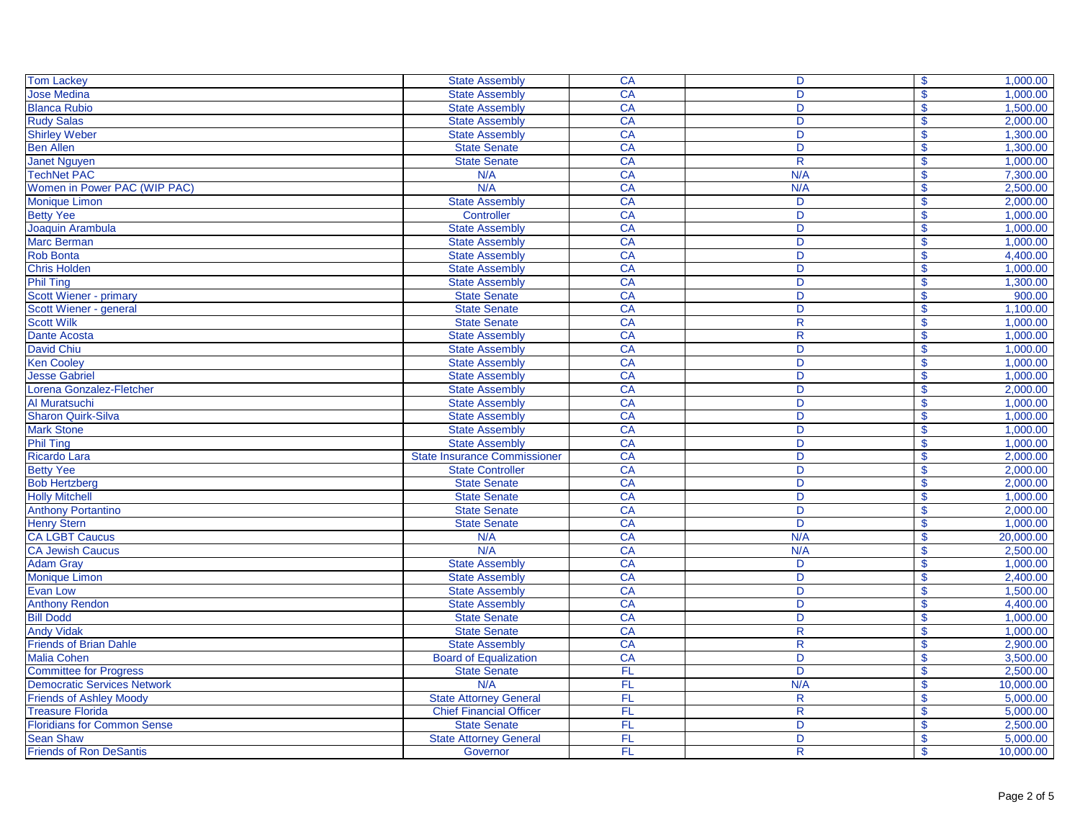| <b>Tom Lackey</b>                  | <b>State Assembly</b>               | CA              | D                       | $\mathbf{\$}$      | 1,000.00  |
|------------------------------------|-------------------------------------|-----------------|-------------------------|--------------------|-----------|
| <b>Jose Medina</b>                 | <b>State Assembly</b>               | <b>CA</b>       | D                       | \$                 | 1,000.00  |
| <b>Blanca Rubio</b>                | <b>State Assembly</b>               | <b>CA</b>       | D                       | \$                 | 1,500.00  |
| <b>Rudy Salas</b>                  | <b>State Assembly</b>               | CA              | D                       | \$                 | 2,000.00  |
| <b>Shirley Weber</b>               | <b>State Assembly</b>               | <b>CA</b>       | D                       | $\mathbf{\$}$      | 1,300.00  |
| <b>Ben Allen</b>                   | <b>State Senate</b>                 | CA              | D                       | $\mathbf{\$}$      | 1,300.00  |
| <b>Janet Nguyen</b>                | <b>State Senate</b>                 | CA              | $\mathsf{R}$            | $\mathbf{\$}$      | 1.000.00  |
| <b>TechNet PAC</b>                 | N/A                                 | CA              | N/A                     | $\mathbf{\$}$      | 7,300.00  |
| Women in Power PAC (WIP PAC)       | N/A                                 | CA              | N/A                     | \$                 | 2,500.00  |
| <b>Monique Limon</b>               | <b>State Assembly</b>               | CA              | D                       | \$                 | 2,000.00  |
| <b>Betty Yee</b>                   | Controller                          | CA              | D                       | $\mathbf{\$}$      | 1,000.00  |
| Joaquin Arambula                   | <b>State Assembly</b>               | <b>CA</b>       | D                       | $\mathbf{\$}$      | 1,000.00  |
| <b>Marc Berman</b>                 | <b>State Assembly</b>               | CA              | D                       | $\mathsf{\$}$      | 1,000.00  |
| <b>Rob Bonta</b>                   | <b>State Assembly</b>               | CA              | D                       | \$                 | 4,400.00  |
| <b>Chris Holden</b>                | <b>State Assembly</b>               | CA              | D                       | $\mathbf{\$}$      | 1,000.00  |
| <b>Phil Ting</b>                   | <b>State Assembly</b>               | CA              | D                       | \$                 | 1,300.00  |
| Scott Wiener - primary             | <b>State Senate</b>                 | <b>CA</b>       | D                       | $\mathbf{s}$       | 900.00    |
| Scott Wiener - general             | <b>State Senate</b>                 | <b>CA</b>       | D                       | $\mathbf{\$}$      | 1,100.00  |
| <b>Scott Wilk</b>                  | <b>State Senate</b>                 | <b>CA</b>       | $\mathsf{R}$            | \$                 | 1,000.00  |
| <b>Dante Acosta</b>                | <b>State Assembly</b>               | CA              | R                       | \$                 | 1,000.00  |
| <b>David Chiu</b>                  | <b>State Assembly</b>               | CA              | D                       | \$                 | 1,000.00  |
| <b>Ken Cooley</b>                  | <b>State Assembly</b>               | CA              | D                       | $\mathbf{\$}$      | 1.000.00  |
| <b>Jesse Gabriel</b>               | <b>State Assembly</b>               | CA              | D                       | \$                 | 1,000.00  |
| Lorena Gonzalez-Fletcher           | <b>State Assembly</b>               | <b>CA</b>       | D                       | \$                 | 2,000.00  |
| Al Muratsuchi                      | <b>State Assembly</b>               | CA              | D                       |                    | 1,000.00  |
| <b>Sharon Quirk-Silva</b>          |                                     | CA              | $\overline{D}$          | \$                 | 1,000.00  |
|                                    | <b>State Assembly</b>               |                 | $\overline{D}$          | $\mathsf{\$}$      |           |
| <b>Mark Stone</b>                  | <b>State Assembly</b>               | CA              |                         | $\mathsf{\$}$      | 1,000.00  |
| <b>Phil Ting</b>                   | <b>State Assembly</b>               | CA              | D                       | $\mathbf{\$}$      | 1,000.00  |
| <b>Ricardo Lara</b>                | <b>State Insurance Commissioner</b> | CA              | D                       | $\mathbf{\$}$      | 2,000.00  |
| <b>Betty Yee</b>                   | <b>State Controller</b>             | <b>CA</b>       | D                       | $\mathbf{\$}$      | 2,000.00  |
| <b>Bob Hertzberg</b>               | <b>State Senate</b>                 | <b>CA</b>       | D                       | \$                 | 2,000.00  |
| <b>Holly Mitchell</b>              | <b>State Senate</b>                 | CA              | D                       | $\mathbf{\$}$      | 1,000.00  |
| <b>Anthony Portantino</b>          | <b>State Senate</b>                 | CA              | D                       | $\mathbf{\$}$      | 2.000.00  |
| <b>Henry Stern</b>                 | <b>State Senate</b>                 | <b>CA</b>       | D                       | \$                 | 1,000.00  |
| <b>CA LGBT Caucus</b>              | N/A                                 | CA              | N/A                     | <b>S</b>           | 20,000.00 |
| <b>CA Jewish Caucus</b>            | N/A                                 | CA              | N/A                     | \$                 | 2,500.00  |
| <b>Adam Gray</b>                   | <b>State Assembly</b>               | CA              | D                       | \$                 | 1,000.00  |
| <b>Monique Limon</b>               | <b>State Assembly</b>               | CA              | D                       | \$                 | 2,400.00  |
| Evan Low                           | <b>State Assembly</b>               | CA              | D                       | $\mathbf{\$}$      | 1,500.00  |
| <b>Anthony Rendon</b>              | <b>State Assembly</b>               | CA              | D                       | $\mathsf{\$}$      | 4,400.00  |
| <b>Bill Dodd</b>                   | <b>State Senate</b>                 | CA              | D                       | $\mathbf{\$}$      | 1,000.00  |
| <b>Andy Vidak</b>                  | <b>State Senate</b>                 | CA              | R                       | \$                 | 1,000.00  |
| <b>Friends of Brian Dahle</b>      | <b>State Assembly</b>               | $\overline{CA}$ | $\overline{\mathsf{R}}$ | $\mathbf{\$}$      | 2,900.00  |
| <b>Malia Cohen</b>                 | <b>Board of Equalization</b>        | CA              | D                       | \$                 | 3,500.00  |
| <b>Committee for Progress</b>      | <b>State Senate</b>                 | FL              | D                       | $\mathbf{\$}$      | 2,500.00  |
| <b>Democratic Services Network</b> | N/A                                 | FL              | N/A                     | <b>S</b>           | 10,000.00 |
| <b>Friends of Ashley Moody</b>     | <b>State Attorney General</b>       | FL              | $\mathsf{R}$            | \$                 | 5,000.00  |
| <b>Treasure Florida</b>            | <b>Chief Financial Officer</b>      | FL              | $\overline{\mathsf{R}}$ | \$.                | 5,000.00  |
| <b>Floridians for Common Sense</b> | <b>State Senate</b>                 | FL              | D                       | \$                 | 2,500.00  |
| <b>Sean Shaw</b>                   | <b>State Attorney General</b>       | FL.             | D                       | $\mathbf{\hat{s}}$ | 5,000.00  |
| <b>Friends of Ron DeSantis</b>     | Governor                            | FL.             | R.                      | <b>S</b>           | 10,000.00 |
|                                    |                                     |                 |                         |                    |           |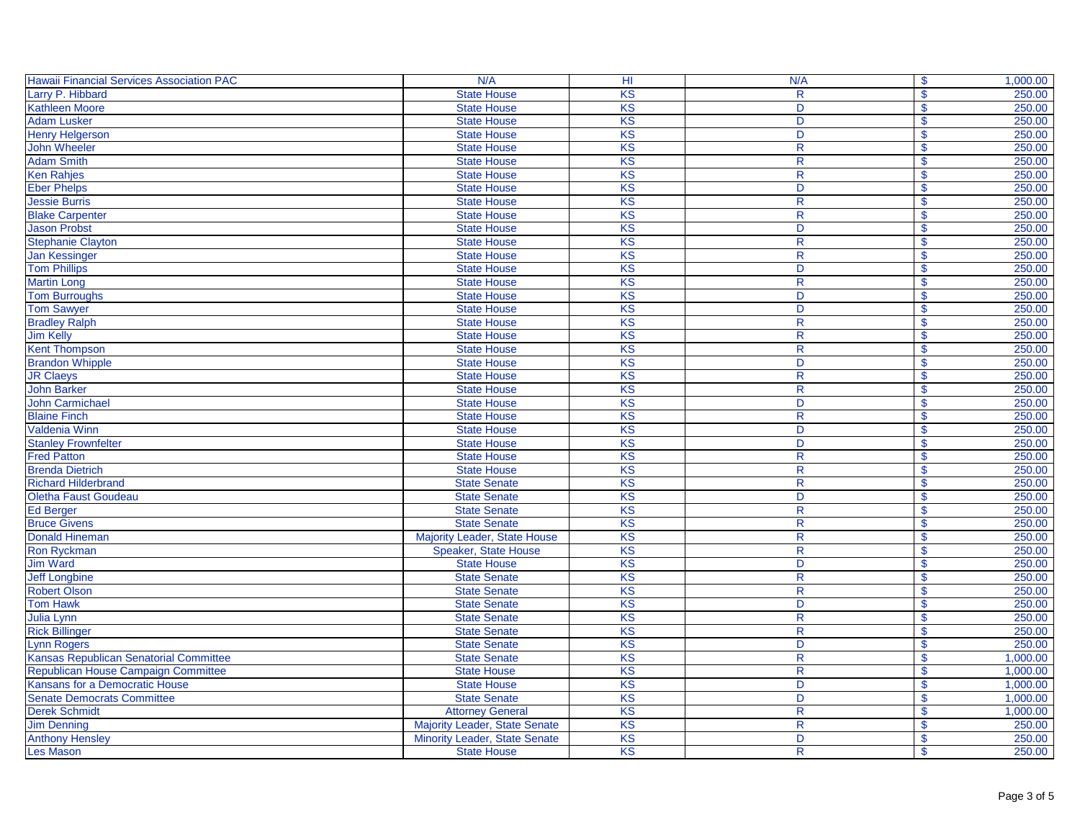| <b>Hawaii Financial Services Association PAC</b> | N/A                           | H <sub>II</sub> | N/A                     | $\mathbf{\$}$<br>1,000.00           |
|--------------------------------------------------|-------------------------------|-----------------|-------------------------|-------------------------------------|
| Larry P. Hibbard                                 | <b>State House</b>            | KS              | $\mathsf{R}$            | $\mathbf{\$}$<br>250.00             |
| <b>Kathleen Moore</b>                            | <b>State House</b>            | KS              | D                       | 250.00<br>$\mathbf{s}$              |
| <b>Adam Lusker</b>                               | <b>State House</b>            | <b>KS</b>       | D                       | 250.00<br>$\mathbf S$               |
| <b>Henry Helgerson</b>                           | <b>State House</b>            | KS              | D                       | $\mathbf{\$}$<br>250.00             |
| John Wheeler                                     | <b>State House</b>            | KS              | $\overline{\mathsf{R}}$ | 250.00<br>$\mathbf{\$}$             |
| <b>Adam Smith</b>                                | <b>State House</b>            | KS              | $\overline{R}$          | 250.00<br>$\mathbf S$               |
| <b>Ken Rahjes</b>                                | <b>State House</b>            | KS              | $\mathsf{R}$            | 250.00<br>$\mathbf{\$}$             |
| <b>Eber Phelps</b>                               | <b>State House</b>            | KS              | D                       | 250.00<br>$\mathbf S$               |
| <b>Jessie Burris</b>                             | <b>State House</b>            | KS              | $\mathsf{R}$            | 250.00<br>$\boldsymbol{\mathsf{s}}$ |
| <b>Blake Carpenter</b>                           | <b>State House</b>            | KS              | $\mathsf{R}$            | 250.00<br>$\mathbf{\$}$             |
| <b>Jason Probst</b>                              | <b>State House</b>            | KS              | D                       | 250.00<br>$\boldsymbol{\mathsf{s}}$ |
| Stephanie Clayton                                | <b>State House</b>            | KS              | $\overline{\mathsf{R}}$ | $\mathbf S$<br>250.00               |
| <b>Jan Kessinger</b>                             | <b>State House</b>            | KS              | $\mathsf{R}$            | $\mathbf{\$}$<br>250.00             |
| <b>Tom Phillips</b>                              | <b>State House</b>            | KS              | D                       | $\mathbf{s}$<br>250.00              |
| <b>Martin Long</b>                               | <b>State House</b>            | KS              | $\mathsf{R}$            | 250.00<br>$\mathbf s$               |
| <b>Tom Burroughs</b>                             | <b>State House</b>            | <b>KS</b>       | D                       | 250.00<br>$\mathbf{s}$              |
| <b>Tom Sawyer</b>                                | <b>State House</b>            | KS              | D                       | $\mathbf{\$}$<br>250.00             |
| <b>Bradley Ralph</b>                             | <b>State House</b>            | KS              | $\overline{\mathsf{R}}$ | 250.00<br>$\mathbf{\$}$             |
| <b>Jim Kelly</b>                                 | <b>State House</b>            | KS              | $\overline{\mathsf{R}}$ | 250.00<br>$\mathbf S$               |
| <b>Kent Thompson</b>                             | <b>State House</b>            | KS              | $\mathsf{R}$            | 250.00<br>$\mathbf{\$}$             |
| <b>Brandon Whipple</b>                           | <b>State House</b>            | <b>KS</b>       | D                       | 250.00<br>\$                        |
| <b>JR Claeys</b>                                 | <b>State House</b>            | KS              | $\mathsf{R}$            | 250.00<br>$\boldsymbol{\mathsf{s}}$ |
| <b>John Barker</b>                               | <b>State House</b>            | KS              | $\mathsf{R}$            | 250.00<br>$\mathbf{\$}$             |
| <b>John Carmichael</b>                           | <b>State House</b>            | KS              | D                       | 250.00<br>$\boldsymbol{\mathsf{s}}$ |
| <b>Blaine Finch</b>                              | <b>State House</b>            | KS              | $\overline{\mathsf{R}}$ | $\mathbf{\$}$<br>250.00             |
| <b>Valdenia Winn</b>                             | <b>State House</b>            | KS              | D                       | 250.00<br>$\mathbf{\$}$             |
| <b>Stanley Frownfelter</b>                       | <b>State House</b>            | KS              | D                       | $\mathbf{\$}$<br>250.00             |
| <b>Fred Patton</b>                               | <b>State House</b>            | KS              | $\mathsf{R}$            | 250.00<br>$\mathbf S$               |
| <b>Brenda Dietrich</b>                           | <b>State House</b>            | <b>KS</b>       | $\mathsf{R}$            | $\mathbf{s}$<br>250.00              |
| <b>Richard Hilderbrand</b>                       | <b>State Senate</b>           | KS              | $\mathsf{R}$            | 250.00<br>$\boldsymbol{\mathsf{s}}$ |
| Oletha Faust Goudeau                             | <b>State Senate</b>           | KS              | D                       | 250.00<br>$\boldsymbol{\mathsf{s}}$ |
| <b>Ed Berger</b>                                 | <b>State Senate</b>           | KS              | $\overline{\mathsf{R}}$ | 250.00<br>$\mathbf S$               |
| <b>Bruce Givens</b>                              | <b>State Senate</b>           | KS              | $\mathsf{R}$            | 250.00<br>$\mathbf{\$}$             |
| <b>Donald Hineman</b>                            | Majority Leader, State House  | KS              | $\mathsf{R}$            | 250.00<br>$\mathbf s$               |
| <b>Ron Ryckman</b>                               | Speaker, State House          | KS              | R                       | 250.00<br>\$                        |
| <b>Jim Ward</b>                                  | <b>State House</b>            | <b>KS</b>       | D                       | $\boldsymbol{\mathsf{S}}$<br>250.00 |
| <b>Jeff Longbine</b>                             | <b>State Senate</b>           | KS              | $\mathsf{R}% _{T}$      | $\boldsymbol{\mathsf{S}}$<br>250.00 |
| <b>Robert Olson</b>                              | <b>State Senate</b>           | KS              | R                       | $\overline{\mathbf{s}}$<br>250.00   |
| <b>Tom Hawk</b>                                  | <b>State Senate</b>           | KS              | D                       | 250.00<br>$\mathsf{\$}$             |
| <b>Julia Lynn</b>                                | <b>State Senate</b>           | KS              | $\mathsf{R}$            | $\mathbf S$<br>250.00               |
| <b>Rick Billinger</b>                            | <b>State Senate</b>           | <b>KS</b>       | $\mathsf{R}$            | $\mathbf S$<br>250.00               |
| <b>Lynn Rogers</b>                               | <b>State Senate</b>           | KS              | D                       | 250.00<br>$\mathbf{s}$              |
| Kansas Republican Senatorial Committee           | <b>State Senate</b>           | <b>KS</b>       | $\mathsf{R}$            | 1,000.00<br>\$                      |
| Republican House Campaign Committee              | <b>State House</b>            | KS              | $\mathsf{R}$            | $\mathbf{\$}$<br>1,000.00           |
| Kansans for a Democratic House                   | <b>State House</b>            | KS              | D                       | $\mathbf{\$}$<br>1,000.00           |
| <b>Senate Democrats Committee</b>                | <b>State Senate</b>           | KS              | D                       | $\mathbf{\$}$<br>1,000.00           |
| <b>Derek Schmidt</b>                             | <b>Attorney General</b>       | KS              | $\mathsf{R}$            | 1,000.00<br>\$                      |
| <b>Jim Denning</b>                               | Majority Leader, State Senate | KS              | $\mathsf{R}$            | 250.00<br>$\boldsymbol{\mathsf{s}}$ |
| <b>Anthony Hensley</b>                           | Minority Leader, State Senate | KS              | D                       | 250.00<br>$\mathbf{\$}$             |
| Les Mason                                        | <b>State House</b>            | KS              | $\mathsf{R}$            | 250.00<br>$\mathbf{\$}$             |
|                                                  |                               |                 |                         |                                     |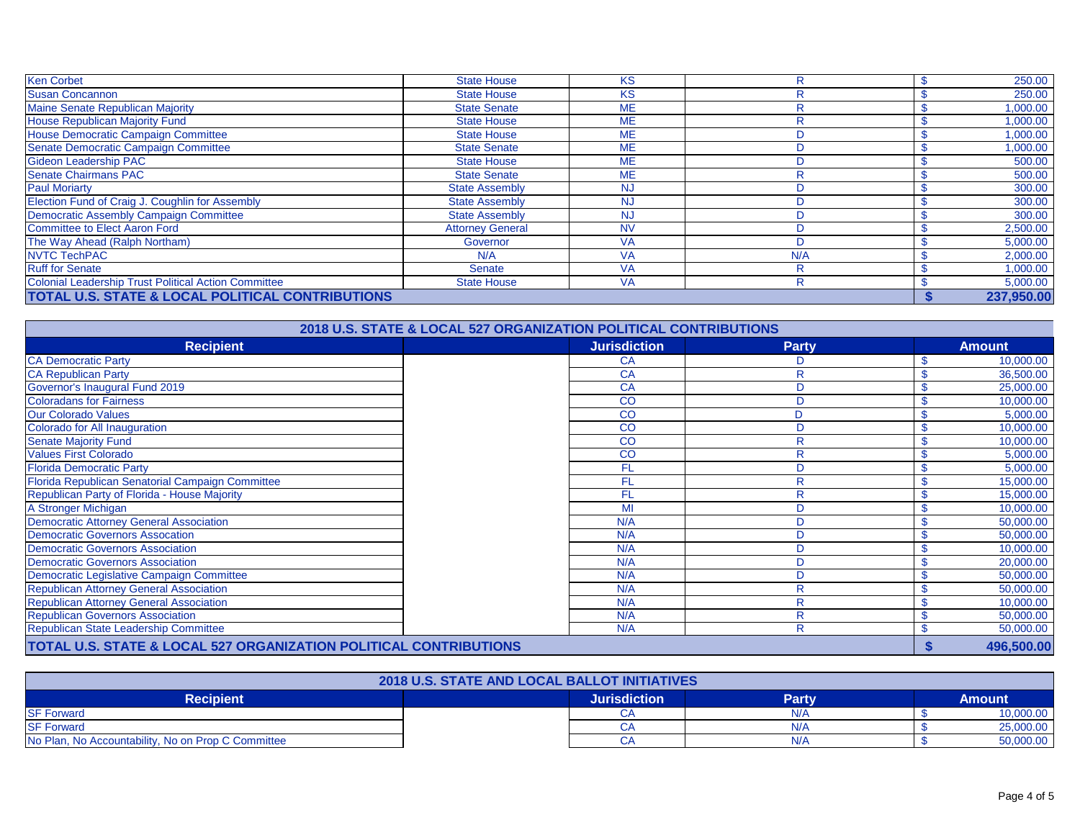| <b>Ken Corbet</b>                                           | <b>State House</b>      | <b>KS</b> | R   |  | 250.00     |
|-------------------------------------------------------------|-------------------------|-----------|-----|--|------------|
| <b>Susan Concannon</b>                                      | <b>State House</b>      | <b>KS</b> | R   |  | 250.00     |
| Maine Senate Republican Majority                            | <b>State Senate</b>     | <b>ME</b> | R   |  | 1,000.00   |
| <b>House Republican Majority Fund</b>                       | <b>State House</b>      | <b>ME</b> | R   |  | 1,000.00   |
| House Democratic Campaign Committee                         | <b>State House</b>      | <b>ME</b> |     |  | 1,000.00   |
| Senate Democratic Campaign Committee                        | <b>State Senate</b>     | <b>ME</b> |     |  | 1,000.00   |
| <b>Gideon Leadership PAC</b>                                | <b>State House</b>      | <b>ME</b> |     |  | 500.00     |
| <b>Senate Chairmans PAC</b>                                 | <b>State Senate</b>     | <b>ME</b> | R   |  | 500.00     |
| <b>Paul Moriarty</b>                                        | <b>State Assembly</b>   | <b>NJ</b> |     |  | 300.00     |
| Election Fund of Craig J. Coughlin for Assembly             | <b>State Assembly</b>   | <b>NJ</b> |     |  | 300.00     |
| Democratic Assembly Campaign Committee                      | <b>State Assembly</b>   | <b>NJ</b> |     |  | 300.00     |
| <b>Committee to Elect Aaron Ford</b>                        | <b>Attorney General</b> | <b>NV</b> |     |  | 2,500.00   |
| The Way Ahead (Ralph Northam)                               | Governor                | <b>VA</b> |     |  | 5,000.00   |
| NVTC TechPAC                                                | N/A                     | <b>VA</b> | N/A |  | 2,000.00   |
| <b>Ruff for Senate</b>                                      | Senate                  | <b>VA</b> | R   |  | 1,000.00   |
| <b>Colonial Leadership Trust Political Action Committee</b> | <b>State House</b>      | <b>VA</b> | R   |  | 5,000.00   |
| TOTAL U.S. STATE & LOCAL POLITICAL CONTRIBUTIONS            |                         |           |     |  | 237,950.00 |

| 2018 U.S. STATE & LOCAL 527 ORGANIZATION POLITICAL CONTRIBUTIONS  |  |                     |              |  |               |  |
|-------------------------------------------------------------------|--|---------------------|--------------|--|---------------|--|
| <b>Recipient</b>                                                  |  | <b>Jurisdiction</b> | <b>Party</b> |  | <b>Amount</b> |  |
| <b>CA Democratic Party</b>                                        |  | СA                  |              |  | 10,000.00     |  |
| <b>CA Republican Party</b>                                        |  | CA                  | R            |  | 36,500.00     |  |
| Governor's Inaugural Fund 2019                                    |  | CA                  | D            |  | 25,000.00     |  |
| <b>Coloradans for Fairness</b>                                    |  | CO                  | D            |  | 10,000.00     |  |
| <b>Our Colorado Values</b>                                        |  | CO                  | D            |  | 5,000.00      |  |
| Colorado for All Inauguration                                     |  | CO                  | D            |  | 10,000.00     |  |
| <b>Senate Majority Fund</b>                                       |  | CO                  | R            |  | 10,000.00     |  |
| <b>Values First Colorado</b>                                      |  | CO                  | R            |  | 5,000.00      |  |
| <b>Florida Democratic Party</b>                                   |  | FL                  | D            |  | 5,000.00      |  |
| Florida Republican Senatorial Campaign Committee                  |  | FL                  | R            |  | 15,000.00     |  |
| Republican Party of Florida - House Majority                      |  | FL                  | R            |  | 15,000.00     |  |
| A Stronger Michigan                                               |  | MI                  | D            |  | 10,000.00     |  |
| <b>Democratic Attorney General Association</b>                    |  | N/A                 | D            |  | 50,000.00     |  |
| <b>Democratic Governors Assocation</b>                            |  | N/A                 | D            |  | 50,000.00     |  |
| <b>Democratic Governors Association</b>                           |  | N/A                 | D            |  | 10,000.00     |  |
| <b>Democratic Governors Association</b>                           |  | N/A                 | D            |  | 20,000.00     |  |
| Democratic Legislative Campaign Committee                         |  | N/A                 | D            |  | 50,000.00     |  |
| <b>Republican Attorney General Association</b>                    |  | N/A                 | R            |  | 50,000.00     |  |
| <b>Republican Attorney General Association</b>                    |  | N/A                 | R            |  | 10,000.00     |  |
| <b>Republican Governors Association</b>                           |  | N/A                 | R            |  | 50,000.00     |  |
| Republican State Leadership Committee                             |  | N/A                 | R            |  | 50,000.00     |  |
| TOTAL U.S. STATE & LOCAL 527 ORGANIZATION POLITICAL CONTRIBUTIONS |  |                     |              |  | 496,500.00    |  |

| <b>2018 U.S. STATE AND LOCAL BALLOT INITIATIVES</b> |  |                     |              |        |           |
|-----------------------------------------------------|--|---------------------|--------------|--------|-----------|
| <b>Recipient</b>                                    |  | <b>Jurisdiction</b> | <b>Party</b> | Amount |           |
| <b>SF Forward</b>                                   |  |                     | N/A          |        | 10,000.00 |
| <b>SF Forward</b>                                   |  |                     | N/A          |        | 25,000.00 |
| No Plan, No Accountability, No on Prop C Committee  |  |                     | N/A          |        | 50,000.00 |